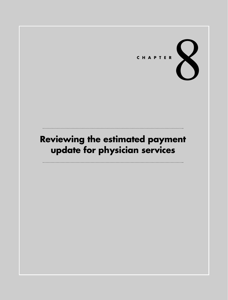# CHAPTER

# **Reviewing the estimated payment update for physician services**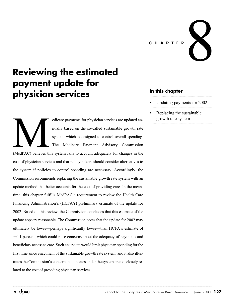**CHAPTER** 8

# **Reviewing the estimated payment update for physician services**

edicare payments for physician services are updated annually based on the so-called sustainable growth rate system, which is designed to control overall spending. The Medicare Payment Advisory Commission (MedPAC) believes this system fails to account adequately for changes in the cost of physician services and that policymakers should consider alternatives to the system if policies to control spending are necessary. Accordingly, the Commission recommends replacing the sustainable growth rate system with an update method that better accounts for the cost of providing care. In the meantime, this chapter fulfills MedPAC's requirement to review the Health Care Financing Administration's (HCFA's) preliminary estimate of the update for 2002. Based on this review, the Commission concludes that this estimate of the update appears reasonable. The Commission notes that the update for 2002 may ultimately be lower—perhaps significantly lower—than HCFA's estimate of -0.1 percent, which could raise concerns about the adequacy of payments and beneficiary access to care. Such an update would limit physician spending for the first time since enactment of the sustainable growth rate system, and it also illustrates the Commission's concern that updates under the system are not closely related to the cost of providing physician services. MedPAC) believes the

### **In this chapter**

- Updating payments for 2002
- Replacing the sustainable growth rate system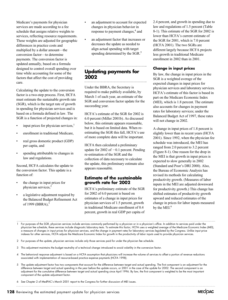Medicare's payments for physician services are made according to a fee schedule that assigns relative weights to services, reflecting resource requirements. These weights are adjusted for geographic differences in practice costs and multiplied by a dollar amount—the conversion factor—to determine payments. The conversion factor is updated annually, based on a formula designed to control overall spending over time while accounting for some of the factors that affect the cost of providing care.

Calculating the update to the conversion factor is a two-step process. First, HCFA must estimate the sustainable growth rate (SGR), which is the target rate of growth in spending for physician services and is based on a formula defined in law. The SGR is a function of projected changes in:

- input prices for physician services, $<sup>1</sup>$ </sup>
- enrollment in traditional Medicare,
- real gross domestic product (GDP) per capita, and
- spending attributable to changes in law and regulations.

Second, HCFA calculates the update to the conversion factor. This update is a function of:

- the change in input prices for physician services,2
- a legislative adjustment required by the Balanced Budget Refinement Act of 1999 (BBRA),<sup>3</sup>
- an adjustment to account for expected changes in physician behavior in response to payment changes,<sup>4</sup> and
- an adjustment factor that increases or decreases the update as needed to align actual spending with target spending determined by the SGR.<sup>5</sup>

## **Updating payments for 2002**

Under the BBRA, the Secretary is required to make publicly available, by March 1 of each year, an estimate of the SGR and conversion factor update for the succeeding year.

HCFA's estimate of the SGR for 2002 is 6.0 percent (Miller 2001b). As discussed below, this estimate appears reasonable, but it is based on limited data. When reestimating the SGR this fall, HCFA's use of more complete data will be important.

HCFA then calculated a preliminary update for  $2002$  of  $-0.1$  percent. Pending re-estimation of the SGR and the collection of data necessary to calculate the update, this preliminary estimate also appears reasonable.

#### **Estimate of the sustainable growth rate for 2002**

HCFA's preliminary estimate of the SGR for 2002 of 6.0 percent is based on estimates of a change in input prices for physician services of 1.5 percent, growth in traditional Medicare enrollment of 0.4 percent, growth in real GDP per capita of 2.4 percent, and growth in spending due to law and regulations of 1.5 percent (Table 8-1). This estimate of the SGR for 2002 is lower than HCFA's current estimate of the SGR for 2001, which is 7.0 percent (HCFA 2001). The two SGRs are different largely because HCFA projects less growth in traditional Medicare enrollment in 2002 than in 2001.

#### **Change in input prices**

By law, the change in input prices in the SGR is a weighted average of the expected changes in input prices for physician services and laboratory services. HCFA's estimate of this factor is based in part on the Medicare Economic Index (MEI), which is 1.8 percent. The estimate also accounts for changes in payment rates for laboratory services; under the Balanced Budget Act of 1997, these rates will not change in 2002.

A change in input prices of 1.8 percent is slightly lower than in recent years (HCFA 2001). Since 1992, when the physician fee schedule was introduced, the MEI has ranged from 2.0 percent to 3.2 percent (Figure 8-1). One reason for the drop in the MEI is that growth in input prices is expected to slow generally in 2002 (Standard and Poor's DRI 2000). Also, the Bureau of Economic Analysis has revised its methods for calculating productivity growth. (Measures of labor inputs in the MEI are adjusted downward for productivity growth.) This change has shifted estimates of productivity growth upward and reduced estimates of the change in prices for labor inputs measured by the MEI. $^6$ 

- 4 The behavioral response adjustment is based on a HCFA assumption that physicians will increase the volume of services to offset a portion of revenue reductions associated with implementation of resource-based practice expense payments (HCFA 1998).
- 5 The update adjustment factor has two components that account for the difference between target and actual spending. The first component is an adjustment for the difference between target and actual spending in the year before the update occurs, or 2001 in the case of the update for 2002. The second component is an adjustment for the cumulative difference between target and actual spending since April 1996. By law, the first component is weighted to be the most important component of the update adjustment factor.

6 See Chapter 2 of MedPAC's March 2001 report to the Congress for further discussion of MEI issues.

**128** Reviewing the estimated payment update for physician services

For purposes of the SGR, physician services include services commonly performed by a physician or in a physician's office. In addition to services paid under the physician fee schedule, these services include diagnostic laboratory tests. To estimate this factor, HCFA uses a weighted average of the Medicare Economic Index (MEI), a measure of changes in input prices for physician services, and the change in payment rates for laboratory services legislated by the Congress. Unlike input price indexes for other services, HCFA adjusts the Medicare Economic Index for growth in the productivity of labor inputs used to provide physician services.

<sup>2</sup> For purposes of the update, physician services include only those services paid for under the physician fee schedule.

<sup>3</sup> This adjustment maintains the budget neutrality of a technical change introduced to avoid volatility in the conversion factor.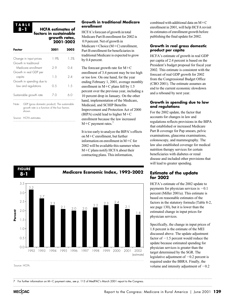#### **TABLE 8-1**

#### **HCFA estimates of factors in sustainable growth rates, 2001-2002**

| Factor                                          |                                                                                                          | 2001 |      |
|-------------------------------------------------|----------------------------------------------------------------------------------------------------------|------|------|
| Change in input prices<br>Growth in traditional |                                                                                                          | 1.9% | 1.5% |
| Medicare enrollment<br>Growth in real GDP per   |                                                                                                          | 2.9  | O 4  |
| capita<br>Growth in spending due to             |                                                                                                          | 1.5  | 2.4  |
|                                                 | law and regulations                                                                                      | 0.5  | 1.5  |
| Sustainable growth rate                         |                                                                                                          | 7.0  | 6.0  |
| Note:                                           | GDP (gross domestic product). The sustainable<br>growth rate is a function of the four factors<br>shown. |      |      |
|                                                 | Source: HCFA estimates                                                                                   |      |      |

#### **Growth in traditional Medicare enrollment**

HCFA's forecast of growth in total Medicare Part B enrollment for 2002 is 0.9 percent. Net of growth in Medicare + Choice  $(M+C)$  enrollment, Part B enrollment for beneficiaries in traditional Medicare is expected to grow by 0.4 percent.

The forecast growth rate for  $M+C$ enrollment of 3.4 percent may be too high or too low. On one hand, for the year ending February 1, 2001, average monthly enrollment in  $M+C$  plans fell by 1.5 percent over the previous year, including a 10 percent drop in January. On the other hand, implementation of the Medicare, Medicaid, and SCHIP Benefits Improvement and Protection Act of 2000 (BIPA) could lead to higher  $M+C$ enrollment because the law increased  $M+C$  payment rates.<sup>7</sup>

It is too early to analyze the BIPA's effects on  $M+C$  enrollment, but further information on enrollment in  $M+C$  for 2002 will be available this summer when  $M+C$  plans notify HCFA about their contracting plans. This information,



combined with additional data on  $M+C$ enrollment in 2001, will help HCFA revisit its estimates of enrollment growth before publishing the final update for 2002.

#### **Growth in real gross domestic product per capita**

HCFA's estimate of growth in real GDP per capita of 2.4 percent is based on the President's budget proposal for fiscal year 2002. This estimate is consistent with the forecast of real GDP growth for 2002 from the Congressional Budget Office (CBO 2001). The estimate assumes an end to the current economic slowdown and a rebound by next year.

#### **Growth in spending due to law and regulations**

For the 2002 update, the factor that accounts for changes in law and regulations reflects provisions in the BIPA that established or increased Medicare Part B coverage for Pap smears, pelvic examinations, glaucoma examinations, colonoscopy, and mammography. The law also established coverage for medical nutrition therapy services for certain beneficiaries with diabetes or renal disease and included other provisions that will lead to greater spending.

#### **Estimate of the update for 2002**

HCFA's estimate of the 2002 update to payments for physician services is  $-0.1$ percent (Miller 2001a). This estimate is based on reasonable estimates of the factors in the statutory formula (Table 8-2, see page 130), but it is lower than the estimated change in input prices for physician services.

Specifically, the change in input prices of 1.8 percent is the estimate of the MEI discussed above. The update adjustment factor of  $-1.5$  percent would reduce the update because estimated spending for physician services is greater than the target determined by the SGR. The legislative adjustment of  $-0.2$  percent is required under the BBRA. Finally, the volume and intensity adjustment of  $-0.2$ 

7 For further information on M+C payment rates, see p. 113 of MedPAC's March 2001 report to the Congress.

**MECOAC**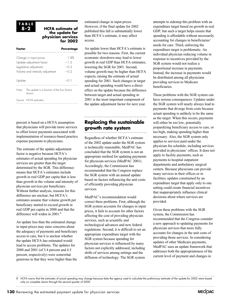#### **TABLE 8-2**

#### **HCFA estimate of the update for physician services for 2002**

| Factor |                                                                                                                 | Percentage                         |
|--------|-----------------------------------------------------------------------------------------------------------------|------------------------------------|
|        | Change in input prices<br>Update adjustment factor<br>Legislative adjustment<br>Volume and intensity adjustment | 1.8%<br>$-1.5$<br>$-0.2$<br>$-0.2$ |
| Update |                                                                                                                 | $-01$                              |
| Note:  | The update is a function of the four factors<br>shown.                                                          |                                    |
|        | Source: HCFA estimates.                                                                                         |                                    |

percent is based on a HCFA assumption that physicians will provide more services to offset lower payments associated with implementation of resource-based practice expense payments to physicians.

The estimate of the update adjustment factor is negative because HCFA's estimates of actual spending for physician services are greater than the target determined by the SGR. This difference means that HCFA's estimates include growth in real GDP per capita that is less than growth in the volume and intensity of physician services per beneficiary. Without further analysis, reasons for this difference are unclear, but HCFA's estimates assume that volume growth per beneficiary started to exceed growth in real GDP per capita in 2000 and that the difference will widen in 2001.<sup>8</sup>

An update less than the estimated change in input prices may raise concerns about the adequacy of payments and beneficiary access to care, but it is unclear whether the update HCFA has estimated would lead to access problems. The updates for 2000 and 2001 (of 5.4 percent and 4.5 percent, respectively) were somewhat generous in that they were higher than the

estimated change in input prices. However, if the final update for 2002 published this fall is substantially lower than HCFA's estimate, it may affect access.

An update lower than HCFA's estimate is possible for two reasons. First, the current economic slowdown may lead to lower growth in real GDP than HCFA estimates, lowering the SGR for 2001. Second, volume growth may be higher than HCFA expects, raising the estimate of actual spending for 2001. Such changes in target and actual spending would have a direct effect on the update because the difference between target and actual spending in 2001 is the most important component of the update adjustment factor for next year.

## **Replacing the sustainable growth rate system**

Regardless of whether HCFA's estimate of the 2002 update under the SGR system is technically reasonable, MedPAC has concluded that the SGR system is not an appropriate method for updating payments for physician services (MedPAC 2001). Accordingly, the Commission has recommended that the Congress replace the SGR system with an annual update based on factors influencing the unit costs of efficiently providing physician services.

MedPAC's recommendation would correct three problems. First, although the SGR system accounts for changes in input prices, it fails to account for other factors affecting the cost of providing physician services, such as scientific and technological advances and new federal regulations. Second, it is difficult to set an appropriate expenditure target with the SGR system because spending for physician services is influenced by many factors not explicitly addressed, including shifts of services among settings and the diffusion of technology. The SGR system

attempts to sidestep this problem with an expenditure target based on growth in real GDP, but such a target helps ensure that spending is affordable without necessarily accounting for changes in beneficiaries' needs for care. Third, enforcing the expenditure target is problematic. An individual physician reducing volume in response to incentives provided by the SGR system would not realize a proportional increase in payments. Instead, the increase in payments would be distributed among all physicians providing services to Medicare beneficiaries.

These problems with the SGR system can have serious consequences. Updates under the SGR system will nearly always lead to payments that diverge from costs because actual spending is unlikely to be the same as the target. When this occurs, payments will either be too low, potentially jeopardizing beneficiary access to care, or too high, making spending higher than necessary. Also, the SGR system only applies to services paid under the physician fee schedule, including services provided in physicians' offices. It does not apply to facility payments, such as payments to hospital outpatient departments and ambulatory surgical centers. Because physicians can provide many services in their offices or in facilities, updates constrained by an expenditure target that apply only to one setting could create financial incentives that inappropriately influence clinical decisions about where services are provided.

Given these problems with the SGR system, the Commission has recommended that the Congress consider a new approach to updating payments for physician services that more fully accounts for changes in the unit costs of providing those services. In considering updates of other Medicare payments, MedPAC uses an update framework that addresses both the appropriateness of the current level of payment and changes in

<sup>8</sup> HCFA warns that the estimates of actual spending may change because data the agency used to calculate the preliminary estimate of the update for 2002 were based only on complete claims through the second quarter of 2000.